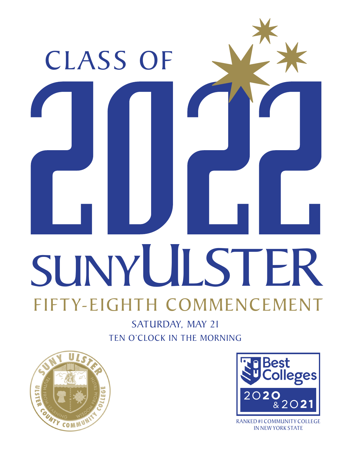

SATURDAY, MAY 21 TEN O'CLOCK IN THE MORNING





RANKED#1 COMMUNITY COLLEGE IN NEW YORK STATE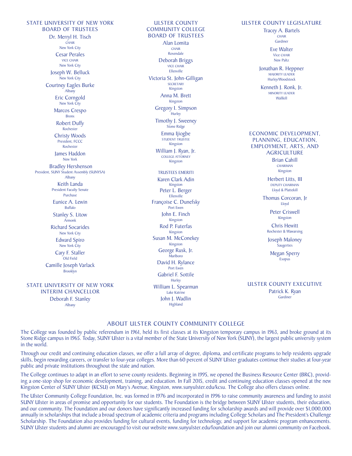STATE UNIVERSITY OF NEW YORK BOARD OF TRUSTEES Dr. Merryl H. Tisch **CHAIR** New York City Cesar Perales VICE CHAIR New York City Joseph W. Belluck New York City Courtney Eagles Burke Albany Eric Corngold New York City Marcos Crespo Bronx Robert Duffy Rochester Christy Woods President, FCCC Rochester James Haddon New York Bradley Hershenson President, SUNY Student Assembly (SUNYSA) Albany Keith Landa President Faculty Senate Purchase Eunice A. Lewin Buffalo Stanley S. Litow Armonk Richard Socarides New York City Edward Spiro New York City Cary F. Staller Old Field Camille Joseph Varlack Brooklyn

STATE UNIVERSITY OF NEW YORK INTERIM CHANCELLOR Deborah F. Stanley Albany

ULSTER COUNTY COMMUNITY COLLEGE BOARD OF TRUSTEES Alan Lomita Rosendale Deborah Briggs Ellenville Victoria St. John-Gilligan **SECRETARY** Kingston Anna M. Brett Kingston Gregory I. Simpson **Hurley** Timothy J. Sweeney Stone Ridge Emma Ijiogbe STUDENT TRUSTEE Kingston William J. Ryan, Jr. COLLEGE ATTORNEY Kingston TRUSTEES EMERITI Karen Clark Adin Kingston Peter L. Berger Ellenville Françoise C. Dunefsky Port Ewen John E. Finch Kingston Rod P. Futerfas Kingston Susan M. McConekey Kingston George Rusk, Jr. Marlboro David H. Rylance Port Ewen Gabriel F. Sottile **Hurley** William L. Spearman Lake Katrine John J. Wadlin Highland

#### ULSTER COUNTY LEGISLATURE

Tracey A. Bartels **CHAIR** Gardiner

> Eve Walter Vice CHAIR New Paltz

Jonathan R. Heppner MAJORITY LEADER Hurley/Woodstock

Kenneth J. Ronk, Jr. MINORITY LEADER Wallkill

#### ECONOMIC DEVELOPMENT, PLANNING, EDUCATION, EMPLOYMENT, ARTS, AND **AGRICULTURE**

Brian Cahill CHAIRMAN Kingston

Herbert Litts, III DEPUTY CHAIRMAN Lloyd & Plattekill

Thomas Corcoran, Jr Lloyd

> Peter Criswell Kingston

Chris Hewitt Rochester & Wawarsing

Joseph Maloney **Saugerties** 

Megan Sperry Esopus

ULSTER COUNTY EXECUTIVE

Patrick K. Ryan Gardiner

#### ABOUT ULSTER COUNTY COMMUNITY COLLEGE

The College was founded by public referendum in 1961, held its first classes at its Kingston temporary campus in 1963, and broke ground at its Stone Ridge campus in 1965. Today, SUNY Ulster is a vital member of the State University of New York (SUNY), the largest public university system in the world.

Through our credit and continuing education classes, we offer a full array of degree, diploma, and certificate programs to help residents upgrade skills, begin rewarding careers, or transfer to four-year colleges. More than 60 percent of SUNY Ulster graduates continue their studies at four-year public and private institutions throughout the state and nation.

The College continues to adapt in an effort to serve county residents. Beginning in 1995, we opened the Business Resource Center (BRC), providing a one-stop shop for economic development, training, and education. In Fall 2015, credit and continuing education classes opened at the new Kingston Center of SUNY Ulster (KCSU) on Mary's Avenue, Kingston, www.sunyulster.edu/kcsu. The College also offers classes online.

The Ulster Community College Foundation, Inc. was formed in 1976 and incorporated in 1996 to raise community awareness and funding to assist SUNY Ulster in areas of promise and opportunity for our students. The Foundation is the bridge between SUNY Ulster students, their education, and our community. The Foundation and our donors have significantly increased funding for scholarship awards and will provide over \$1,000,000 annually in scholarships that include a broad spectrum of academic criteria and programs including College Scholars and The President's Challenge Scholarship. The Foundation also provides funding for cultural events, funding for technology, and support for academic program enhancements. SUNY Ulster students and alumni are encouraged to visit our website www.sunyulster.edu/foundation and join our alumni community on Facebook.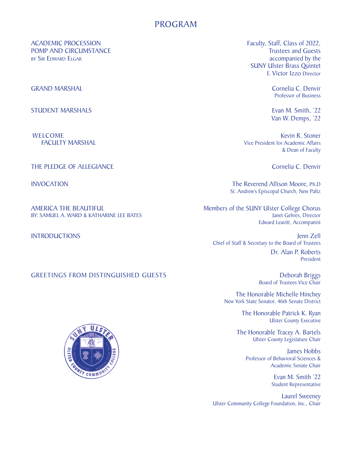## PROGRAM

ACADEMIC PROCESSION<br>
POMP AND CIRCUMSTANCE<br>
Trustees and Guests POMP AND CIRCUMSTANCE BY SIR EDWARD ELGAR accompanied by the accompanied by the

GRAND MARSHAL Cornelia C. Denvir

STUDENT MARSHALS **EVAN MARSHALS** Evan M. Smith, '22

THE PLEDGE OF ALLEGIANCE Cornelia C. Denvir

BY: SAMUEL A. WARD & KATHARINE LEE BATES

#### GREETINGS FROM DISTINGUISHED GUESTS **Example 20 Seconds** Deborah Briggs

 SUNY Ulster Brass Quintet I. Victor Izzo Director

Professor of Business

Van W. Demps, '22

WELCOME **Kevin R. Stoner** Kevin R. Stoner FACULTY MARSHAL **FACULTY MARSHAL Vice President for Academic Affairs** & Dean of Faculty

INVOCATION The Reverend Allison Moore, Ph.D St. Andrew's Episcopal Church, New Paltz

AMERICA THE BEAUTIFUL Members of the SUNY Ulster College Chorus<br>BY: SAMUEL A. WARD & KATHARINE LEE BATES Edward Leavitt, Accompanist

**INTRODUCTIONS Interventional contract of the contract of the contract of the contract of the contract of the contract of the contract of the contract of the contract of the contract of the contract of the contract of th** Chief of Staff & Secretary to the Board of Trustees

 Dr. Alan P. Roberts **President President** 

Board of Trustees Vice Chair

 The Honorable Michelle Hinchey New York State Senator, 46th Senate District

 The Honorable Patrick K. Ryan Ulster County Executive

> The Honorable Tracey A. Bartels Ulster County Legislature Chair

 $\left[\frac{1}{2}, \frac{1}{2}\right]$  and  $\left[\frac{1}{2}, \frac{1}{2}\right]$ Professor of Behavioral Sciences &

Student Representative<br>
Student Representative

 Laurel Sweeney Ulster Community College Foundation, Inc., Chair

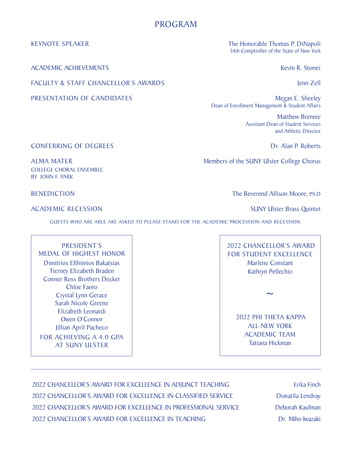## PROGRAM

ACADEMIC ACHIEVEMENTS **Kevin R. Stoner** Kevin R. Stoner

FACULTY & STAFF CHANCELLOR'S AWARDS **FACULTY & STAFF CHANCELLOR'S AWARDS** 

KEYNOTE SPEAKER The Honorable Thomas P. DiNapoli 54th Comptroller of the State of New York

PRESENTATION OF CANDIDATES Megan E. Sheeley Dean of Enrollment Management & Student Affairs

> Matthew Brennie Assistant Dean of Student Services and Athletic Director

**CONFERRING OF DEGREES** DR. Alan P. Roberts

ALMA MATER Members of the SUNY Ulster College Chorus

COLLEGE CHORAL ENSEMBLE BY JOHN F. PARK

ACADEMIC RECESSION SUNY Ulster Brass Quintet

BENEDICTION The Reverend Allison Moore, Ph.D

GUESTS WHO ARE ABLE ARE ASKED TO PLEASE STAND FOR THE ACADEMIC PROCESSION AND RECESSION.

PRESIDENT'S MEDAL OF HIGHEST HONOR Dimitrios Efthimios Bakatsias Tierney Elizabeth Braden Conner Ross Brothers Decker Chloe Faoro Crystal Lynn Gerace Sarah Nicole Greene Elizabeth Leonardi Owen O'Connor Jillian April Pacheco FOR ACHIEVING A 4.0 GPA AT SUNY ULSTER

 2022 CHANCELLOR'S AWARD FOR STUDENT EXCELLENCE Marlene Constant Kathryn Pellechio

~

 2022 PHI THETA KAPPA ALL-NEW YORK ACADEMIC TEAM Tatiana Hickman

2022 CHANCELLOR'S AWARD FOR EXCELLENCE IN ADJUNCT TEACHING Erika Finch 2022 CHANCELLOR'S AWARD FOR EXCELLENCE IN CLASSIFIED SERVICE Donatila Lendvay 2022 CHANCELLOR'S AWARD FOR EXCELLENCE IN PROFESSIONAL SERVICE Deborah Kaufman 2022 CHANCELLOR'S AWARD FOR EXCELLENCE IN TEACHING **Example 10 CHANCELLOR'S AWARD** FOR EXCELLENCE IN TEACHING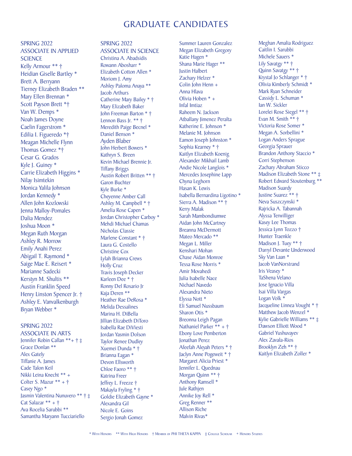## GRADUATE CANDIDATES

SPRING 2022 ASSOCIATE IN APPLIED **SCIENCE** Kelly Armour \*\* † Heidian Giselle Bartley \* Brett A. Berryann Tierney Elizabeth Braden \*\* Mary Ellen Brennan \* Scott Payson Brett \*† Van W. Demps \* Noah James Doyne Caelin Fagerstrom \* Edilia I. Figueredo \*† Meagan Michelle Flynn Thomas Gomez \*† Cesar G. Grados Kyle J. Guiney \* Carrie Elizabeth Higgins \* Nilay Isimtekin Monica Yalila Johnson Jordan Kennedy \* Allen John Kozlowski Jenna Malloy-Pomales Dalia Mendez Joshua Moon \* Megan Ruth Morgan Ashley R. Morrow Emily Anahi Perez Abigail T. Raymond \* Saige Mae E. Reisert \* Marianne Sadecki Kerstyn M. Shultis \*\* Austin Franklin Speed Henry Linston Spencer Jr. † Ashley E. Vanvalkenburgh Bryan Webber \*

#### SPRING 2022

ASSOCIATE IN ARTS Jennifer Robin Callan \*\*+ † ‡ Grace Donlan \*\* Alex Gately Tiffanie A. James Cade Talon Keil Nikki Leina Knecht \*\* + Colter S. Mazur  $** + \dagger$ Casey Ngo \* Jasmin Valentina Nunuvero \*\* † ‡ Cat Salazar \*\* + † Ava Rocelia Sarubbi \*\* Samantha Maryann Tucciariello

#### SPRING 2022 ASSOCIATE IN SCIENCE

Christina A. Abadsidis Rowann Abosharr \* Elizabeth Cotton Allen \* Moriom J. Amy Ashley Paloma Anaya \*\* Jacob Arthurs Catherine Mary Bailey \* † Mary Elizabeth Baker John Freeman Barton \* † Lennon Bass Jr. \*\* † Meredith Paige Becnel \* Daniel Benson \* Ayden Blaber John Herbert Bowers \* Kathryn S. Breen Kevin Michael Brennie Jr. Tiffany Briggs Austin Robert Britten \*\* † Garon Buchter Kyle Burke \* Cheyenne Amber Call Ashley M. Campbell \* † Amelia Rose Capen \* Jordan Christopher Carboy \* Mehdi Michael Chamas Nicholas Classie Marlene Constant \* † Laura G. Costello Christine Cox Lylah Brianna Crews Holly Cruz Travis Joseph Decker Karleen Dee \* † Ronny Del Rosario Jr Kaja Deren \*\* Heather Rae DeRosa \* Melida Dessalines Marina H. DiBella Jillian Elizabeth DiToro Isabella Rae DiViesti Jordan Yasmin Dolson Taylor Renee Dudley Xuemei Dunda \* † Brianna Eagan \* Devon Ellsworth Chloe Faoro \*\* † Katrina Freer Jeffrey L. Freeze † Makayla Fryling \* † Goldie Elizabeth Gayne \* Alexandra Gil Nicole E. Goins Sergio Jonah Gomez

Summer Lauren Gonzalez Megan Elizabeth Gregory Katie Hagen \* Shana Marie Hager \*\* Justin Halbert Zachary Helzer \* Colin John Henn + Anna Hlava Olivia Hoben \* + Infal Imtiaz Raheem N. Jackson Atballany Jimenez Peralta Katherine E. Johnson \* Melanie M. Johnson Eamon Joseph Johnston \* Sophia Kearney \* † Kaitlyn Elizabeth Koenig Alexander Mikhail Lamb Andie Nicole Langlois \* Mercedes Josephine Lapp Chyna Leghorn Hasan K. Lewis Isabella Bernardina Ligotino \* Sierra A. Madison \*\* † Kerry Malak Sarah Mambondiumwe Aidan John McCartney Breanna McDermott Mateo Mercado \*\* Megan L. Miller Kenshari Mohan Chase Aidan Monroe Tessa Rose Morris \* Amir Movahedi Julia Isabelle Nace Nichael Navedo Alexandra Nieto Elyssa Nott \* Eli Samuel Nussbaum Sharon Otis \* Breonna Leigh Pagan Nathaniel Parker \*\* + † Ebony Love Pemberton Jonathan Perez Afeefah Aleyah Peters \* † Jaclyn Anne Pogeweit \* † Margaret Alicia Priest \* Jennifer L. Quednau Morgan Quinn \*\* † Anthony Ramsell \* Jule Rathjen Annike Joy Rell \* Greg Renner \*\* Allison Riche Malvin Rivas\*

Meghan Amalia Rodriguez Caitlin I. Sarubbi Michele Sauers \* Lily Savatgy \*\* † Quinn Savatgy \*\* † Krystal Jo Schlanger \* † Olivia Kimberly Schmidt \* Mark Ryan Schneider Cassidy L. Schuman \* Ian W. Sickler Lorelei Rose Siegel \*\* † Evan M. Smith \*\* † Victoria Rose Somer \* Megan A. Sorbellini \* Logan Anders Sprague Georgia Sprauer Brandon Anthony Staccio \* Corri Stephenson Zachary Abraham Sticco Madison Elizabeth Stone \*\* ‡ Robert Edward Stoutenburg \*\* Madison Suardy Justine Suarez \*\* † Neva Suszczynski \* Rajricka A. Tabannah Alyssa Terwilliger Kasey Lee Thomas Jessica Lynn Tozzo † Hunter Traenkle Madison J. Tuey \*\* † Darryl Devante Underwood Sky Van Laan \* Jacob VanNorstrand Iris Veasey \* TaShena Velano Jose Ignacio Villa Isai Villa Vargas Logan Volk \* Jacqueline Linnea Vought \* † Matthew Jacob Wenzel \* Kylie Gabrielle Williams \*\* ‡ Dawson Elliott Wood \* Gabriel Yushuvayev Alex Zavala-Rios Brooklyn Zeh \*\* † Kaitlyn Elizabeth Zoller \*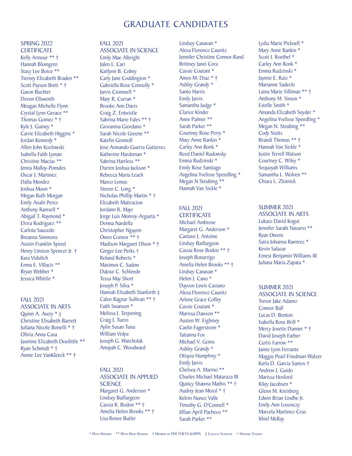## GRADUATE CANDIDATES

#### SPRING 2022 **CERTIFICATE**

Kelly Armour \*\* † Hannah Blomgren Stacy Lee Boice \*\* Tierney Elizabeth Braden \*\* Scott Payson Brett \* † Garon Buchter Devon Ellsworth Meagan Michelle Flynn Crystal Lynn Gerace \*\* Thomas Gomez \* † Kyle J. Guiney \* Carrie Elizabeth Higgins \* Jordan Kennedy \* Allen John Kozlowski Isabella Faith Lyman Christine Macias \*\* Jenna Malloy-Pomales Oscar J. Martinez Dalia Mendez Joshua Moon \* Megan Ruth Morgan Emily Anahi Perez Anthony Ramsell \* Abigail T. Raymond \* Elvira Rodriguez \*\* Carlota Saucedo Breanna Simmons Austin Franklin Speed Henry Linston Spencer Jr. † Kara Vidulich Enma E. Villacis \*\* Bryan Webber \* Jessica Whittle \*

#### FALL 2021

ASSOCIATE IN ARTS Quinn A. Avery \* ‡ Christine Elisabeth Barrett Juliana Nicole Bonelli \* † Olivia Anna Casa Jasmine Elizabeth Doolittle \*\* Ryan Schmidt \* † Annie Lee VanKleeck \*\* †

### FALL 2021

ASSOCIATE IN SCIENCE Emily Mae Albright Jalen L. Carr Kaitlynn B. Cobey Carly Jane Coddington \* Gabriella Rose Connolly \* Jarvis Cromwell \* Mary R. Curran \* Brooke Ann Davis Craig Z. Entwistle Sabrina Marie Fales \*\* † Giovanina Giordano \* Sarah Nicole Greene \*\* Katelin Gromoll Jose Armando Guerra Gutierrez Katherine Hardeman \* Sabrina Hartless \*\* Darren Joshua Jackson \* Rebecca Maria Leach Marco Lemus Steven C. Long \* Nicholas Phillip Martin \* † Elizabeth Mattracion Jordann R. Mayr Jorge Luis Monroy-Argueta \* Donna Nardella Christopher Nguyen Owen Connor \*\* † Madison Margaret Olson \* † Ginger Lee Perks † Roland Roberts \* Maximos C. Sadow DaJour C. Schleede Tessa May Short Joseph P. Silva \* Hannah Elisabeth Stanforth ‡ Calen Ragnar Sullivan \*\* † Faith Swanson \* Melissa J. Terpening Craig J. Tuero Aylin Susan Tuna William Volpe Joseph G. Warcholak Amayah C. Woodward

#### FALL 2021 ASSOCIATE IN APPLIED **SCIENCE** Margaret G. Anderson \* Lindsey Baillargeon Cassia R. Bodon \*\* † Amelia Helen Brooks \*\* † Lisa Renee Butler

Lindsey Canavan \* Alexa Florence Caunitz Jennifer Christine Connor-Rand Brittney Janei Cora Cassie Coutant \* Amos M. Diaz \* † Ashley Grandy \* Santo Harris Emily Jarvis Samantha Judge \* Clarice Kinder Anne Palmer \*\* Sarah Parker \*\* Courtney Rose Perry \* Mary Anne Rankin \* Carley Ann Ronk \* Reed Daniel Rudowsky Emma Rudzinski \* Emily Rose Santiago Angelina Yvelisse Speedling \* Megan N Steubing \*\* Hannah Van Sickle \*

#### FALL 2021 **CERTIFICATE**

Michael Ambrose Margaret G. Anderson \* Cantave J. Antoine Lindsey Baillargeon Cassia Rose Bodon \*\* † Joseph Bonarrigo Amelia Helen Brooks \*\* † Lindsey Canavan \* Helen J. Cano \* Dayvon Lewis Casiano Alexa Florence Caunitz Arlene Grace Coffey Cassie Coutant \* Marissa Dawson \*\* Austen W. Eighmey Caelin Fagerstrom \* Tatianna Fox Michael V. Goins Ashley Grandy \* Ottayia Humphrey \* Emily Jarvis Chelsea A. Marino \*\* Charles Michael Mataraza III Quincy Shawna Mathis \*\* † Audrey Jean Mossl \* † Kelvin Nunez Valle Timothy G. O'Connell \* Jillian April Pacheco \*\* Sarah Parker \*\*

Lydia Marie Picknell \* Mary Anne Rankin \* Scott J. Roethel \* Carley Ann Ronk \* Emma Rudzinski \* Jaymie E. Ruiz \* Marianne Sadecki Laina Marie Silliman \*\* † Anthony M. Simon \* Estelle Smith \* Amanda Elizabeth Snyder \* Angelina Yvelisse Speedling \* Megan N. Steubing \*\* Cody Stutts Brandi Thomas \*\* † Hannah Van Sickle \* Justin Terrell Watson Courtney C. Wiley \* Sequoyah Williams Samantha L. Wolven \*\* Chiara L. Zlotnick

#### SUMMER 2021 ASSOCIATE IN ARTS Lukasz David Kogut Jennifer Sarahi Navarro \*\* Ryan Owens Saira Johanna Ramirez \* Kevin Salazar

Ernest Benjamin Williams III Juliana Maria Zapata \*

#### SUMMER 2021

ASSOCIATE IN SCIENCE Trevor Jake Adamo Connor Ball Lucas D. Benton Isabella Rose Brill \* Mercy Josette Danner \* † David Joseph Farber Curtis Farrow \*\* Jamie Lynn Ferrante Maggie Pearl Friedman-Walzer Karla D. Garcia Santos † Andrew J. Guido Marissa Hosford Riley Jacobsen \* Glenn M. Kreisberg Edwin Brian Lindhe Jr. Emily Ann Losonczy Marcela Martinez-Cruz Ithiel McRay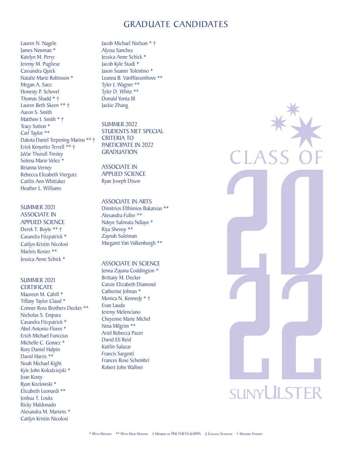## GRADUATE CANDIDATES

Lauren N. Nagele James Newman \* Katelyn M. Perry Jeremy M. Pugliese Cassandra Quick Natalie Marie Robinson \* Megan A. Saez Honesty P. Schovel Thomas Shadd \* † Lauren Beth Skeen \*\* † Aaron S. Smith Matthew J. Smith \* † Tracy Sutton \* Carl Taylor \*\* Dakota Daniel Terpening-Marino \*\* † Erick Kenyetto Terrell \*\* † JaVar Thurull Tinsley Selena Marie Velez \* Brianna Verney Rebecca Elizabeth Viergutz Caitlin Ann Whittaker Heather L. Williams

SUMMER 2021 ASSOCIATE IN APPLIED SCIENCE Derek T. Boyle \*\* † Casandra Fitzpatrick \* Caitlyn Kristin Nicolosi Marleis Rosier \*\* Jessica Anne Schick \*

#### SUMMER 2021 **CERTIFICATE**

Maureen M. Cahill \* Tiffany Taylor Claud \* Conner Ross Brothers Decker \*\* Nicholas S. Empara Casandra Fitzpatrick \* Abel Antonio Flores \* Erich Michael Funccius Michelle C. Gomez \* Rory Daniel Halpin David Harris \*\* Noah Michael Kight Kyle John Kolodziejski \* Joan Korey Ryan Kozlowski \* Elizabeth Leonardi \*\* Joshua T. Louks Ricky Maldonado Alexandra M. Martens \* Caitlyn Kristin Nicolosi

Jacob Michael Nielson \* † Alyssa Sanchez Jessica Anne Schick \* Jacob Kyle Studt \* Jason Suamir Tolentino \* Leanna B. VanWassenhove \*\* Tyler J. Wagner \*\* Tyler D. White \*\* Donald Yonta III Jackie Zhang

SUMMER 2022 STUDENTS MET SPECIAL CRITERIA TO PARTICIPATE IN 2022 **GRADUATION** 

ASSOCIATE IN APPLIED SCIENCE Ryan Joseph Dixon

#### ASSOCIATE IN ARTS

Dimitrios Efthimios Bakatsias \*\* Alexandra Fuller \*\* Ndeye Salimata Ndiaye \* Riya Shenoy \*\* Zaynah Suleiman Margaret Van Valkenburgh \*\*

#### ASSOCIATE IN SCIENCE

Jenna Zayana Coddington \* Brittany M. Decker Cassie Elizabeth Diamond Catherine Johnan \* Monica N. Kennedy \* † Evan Lauda Jeremy Melenciano Cheyenne Marie Michel Nina Milgrim \*\* Ariel Rebecca Pazer David Eli Reid Kaitlin Salazar Francis Sargenti Frances Rose Schembri Robert John Wallner

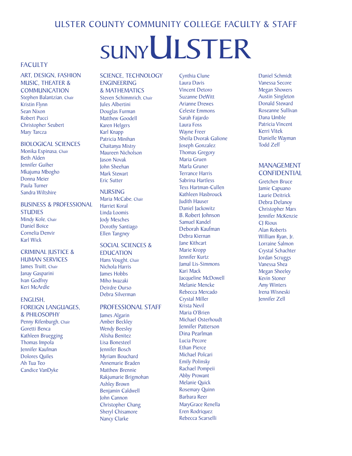## ULSTER COUNTY COMMUNITY COLLEGE FACULTY & STAFF

# SUNYULSTER

### **FACULTY**

ART, DESIGN, FASHION MUSIC, THEATER & **COMMUNICATION** Stephen Balantzian, Chair Kristin Flynn Sean Nixon Robert Pucci Christopher Seubert Mary Tarcza

#### BIOLOGICAL SCIENCES

Monika Espinasa, Chair Beth Alden Jennifer Guiher Mkajuma Mbogho Donna Meier Paula Turner Sandra Wiltshire

#### BUSINESS & PROFESSIONAL **STUDIES**

Mindy Kole, Chair Daniel Boice Cornelia Denvir Karl Wick

## CRIMINAL JUSTICE &

HUMAN SERVICES James Truitt, Chair Janay Gasparini Ivan Godfrey Keri McArdle

#### ENGLISH,

FOREIGN LANGUAGES, & PHILOSOPHY Penny Rifenburgh, Chair Goretti Benca Kathleen Bruegging Thomas Impola Jennifer Kaufman Dolores Quiles Ah Tua Teo Candice VanDyke

#### SCIENCE, TECHNOLOGY ENGINEERING

& MATHEMATICS Steven Schimmrich, Chair Jules Albertini Douglas Furman Matthew Goodell Karen Helgers Karl Knapp Patricia Minihan Chaitanya Mistry Maureen Nicholson Jason Novak John Sheehan Mark Stewart Eric Sutter

#### **NURSING** Maria McCabe, Chair Harriet Koral Linda Loomis

Jody Mesches Dorothy Santiago Ellen Tangney

## SOCIAL SCIENCES &

EDUCATION Hans Vought, Chair Nichola Harris James Hobbs Miho Iwazaki Deirdre Ourso Debra Silverman

#### PROFESSIONAL STAFF

James Algarin Amber Beckley Wendy Beesley Alisha Benitez Lisa Bonesteel Jennifer Bosch Myriam Bouchard Annemarie Braden Matthew Brennie Rakjumarie Brigmohan Ashley Brown Benjamin Caldwell John Cannon Christopher Chang Sheryl Chisamore Nancy Clarke

Cynthia Clune Laura Davis Vincent Detoro Suzanne DeWitt Arianne Drewes Celeste Emmons Sarah Fajardo Laura Foss Wayne Freer Sheila Dvorak Galione Joseph Gonzalez Thomas Gregory Maria Gruen Marla Gruner Terrance Harris Sabrina Hartless Tess Hartman-Cullen Kathleen Hasbrouck Judith Hauser Daniel Jackowitz B. Robert Johnson Samuel Kandel Deborah Kaufman Debra Kiernan Jane Kithcart Marie Kropp Jennifer Kurtz Jamal Lis-Simmons Kari Mack **Jacoueline McDowell** Melanie Mencke Rebecca Mercado Crystal Miller Krista Nevil Maria O'Brien Michael Osterhoudt Jennifer Patterson Dina Pearlman Lucia Pecore Ethan Pierce Michael Polcari Emily Polinsky Rachael Pompeii Abby Prowant Melanie Quick Rosemary Quinn Barbara Reer MaryGrace Renella Eren Rodriquez Rebecca Scarselli

Daniel Schmidt Vanessa Secore Megan Showers Austin Singleton Donald Steward Roseanne Sullivan Dana Umble Patricia Vincent Kerri Vitek Danielle Wayman Todd Zeff

#### MANAGEMENT CONFIDENTIAL

Gretchen Bruce Jamie Capuano Laurie Deitrick Debra Delanoy Christopher Marx Jennifer McKenzie **CI** Rioux Alan Roberts William Ryan, Jr. Lorraine Salmon Crystal Schachter Jordan Scruggs Vanessa Shea Megan Sheeley Kevin Stoner Amy Winters Irena Wisneski Jennifer Zell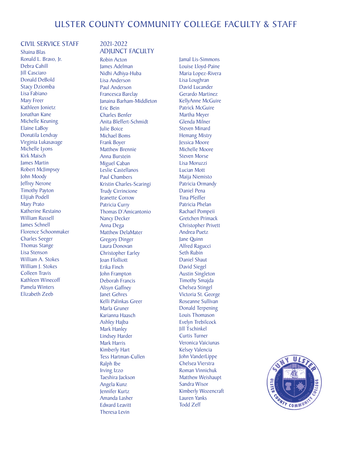#### CIVIL SERVICE STAFF

Shaina Blas Ronald L. Bravo, Jr. Debra Cahill Jill Casciaro Donald DeBold Stacy Dziomba Lisa Fabiano Mary Freer Kathleen Jonietz Jonathan Kane Michelle Keuning Elaine LaBoy Donatila Lendvay Virginia Lukasavage Michelle Lyons Kirk Maisch James Martin Robert McJimpsey John Moody Jeffrey Nerone Timothy Payton Elijiah Podell Mary Prato Katherine Restaino William Russell James Schnell Florence Schoonmaker Charles Seeger Thomas Stange Lisa Stenson William A. Stokes William I. Stokes Colleen Travis Kathleen Winecoff Pamela Winters Elizabeth Zeeb

#### 2021-2022 ADJUNCT FACULTY

Robin Acton James Adelman Nidhi Adhiya-Huba Lisa Anderson Paul Anderson Francesca Barclay Janaina Barham-Middleton Eric Bein Charles Benfer Anita Bleffert-Schmidt Julie Boice Michael Boms Frank Boyer Matthew Brennie Anna Burstein Miguel Caban Leslie Castellanos Paul Chambers Kristin Charles-Scaringi Trudy Cirrincione Jeanette Corrow Patricia Curry Thomas D'Amicantonio Nancy Decker Anna Dega Matthew DelaMater Gregory Dinger Laura Donovan Christopher Earley Joan Ffolliott Erika Finch John Frampton Deborah Francis Alisyn Gaffney Janet Gehres Kelli Palinkas Greer Marla Gruner Karianna Haasch Ashley Hajba Mark Hanley Lindsey Harder Mark Harris Kimberly Hart Tess Hartman-Cullen Ralph Ibe Irving Izzo Taeshira Jackson Angela Kunz Jennifer Kurtz Amanda Lasher Edward Leavitt Theresa Levin

Jamal Lis-Simmons Louise Lloyd-Paine Maria Lopez-Rivera Lisa Loughran David Lucander Gerardo Martinez KellyAnne McGuire Patrick McGuire Martha Meyer Glenda Milner Steven Minard Hemang Mistry Jessica Moore Michelle Moore Steven Morse Lisa Moruzzi Lucian Mott Maija Niemisto Patricia Ormandy Daniel Pena Tina Pfeiffer Patricia Phelan Rachael Pompeii Gretchen Primack Christopher Privett Andrea Puetz Jane Quinn Alfred Ragucci Seth Rubin Daniel Shaut David Siegel Austin Singleton Timothy Smajda Chelsea Stingel Victoria St. George Roseanne Sullivan Donald Terpening Louis Thomason Evelyn Trebilcock Jill Tschinkel Curtis Turner Veronica Vaiciunas Kelsey Valencia John VanderLippe Chelsea Vierstra Roman Vinnichuk Matthew Weishaupt Sandra Wisor Kimberly Wozencraft Lauren Yanks Todd Zeff

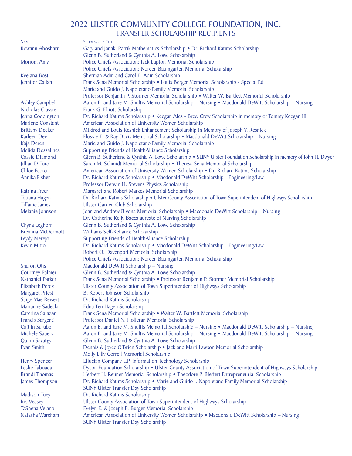## 2022 ULSTER COMMUNITY COLLEGE FOUNDATION, INC. TRANSFER SCHOLARSHIP RECIPIENTS

| <b>NAME</b>              | <b>SCHOLARSHIP TITLE</b>                                                                                          |
|--------------------------|-------------------------------------------------------------------------------------------------------------------|
| Rowann Abosharr          | Gary and Janaki Patrik Mathematics Scholarship . Dr. Richard Katims Scholarship                                   |
|                          | Glenn B. Sutherland & Cynthia A. Lowe Scholarship                                                                 |
| <b>Moriom Amy</b>        | Police Chiefs Association: Jack Lupton Memorial Scholarship                                                       |
|                          | Police Chiefs Association: Noreen Baumgarten Memorial Scholarship                                                 |
| Keelana Bost             | Sherman Adin and Carol E. Adin Scholarship                                                                        |
| Jennifer Callan          | Frank Sena Memorial Scholarship • Louis Berger Memorial Scholarship - Special Ed                                  |
|                          | Marie and Guido J. Napoletano Family Memorial Scholarship                                                         |
|                          | Professor Benjamin P. Stormer Memorial Scholarship • Walter W. Bartlett Memorial Scholarship                      |
| <b>Ashley Campbell</b>   | Aaron E. and Jane M. Shultis Memorial Scholarship - Nursing • Macdonald DeWitt Scholarship - Nursing              |
| Nicholas Classie         | Frank G. Elliott Scholarship                                                                                      |
| Jenna Coddington         | Dr. Richard Katims Scholarship • Keegan Ales - Brew Crew Scholarship in memory of Tommy Keegan III                |
| Marlene Constant         | American Association of University Women Scholarship                                                              |
| <b>Brittany Decker</b>   | Mildred and Louis Resnick Enhancement Scholarship in Memory of Joseph Y. Resnick                                  |
| Karleen Dee              | Flossie E. & Ray Davis Memorial Scholarship • Macdonald DeWitt Scholarship - Nursing                              |
| Kaja Deren               | Marie and Guido J. Napoletano Family Memorial Scholarship                                                         |
| <b>Melida Dessalines</b> | Supporting Friends of HealthAlliance Scholarship                                                                  |
| <b>Cassie Diamond</b>    | Glenn B. Sutherland & Cynthia A. Lowe Scholarship • SUNY Ulster Foundation Scholarship in memory of John H. Dwyer |
| Jillian DiToro           | Sarah M. Schmidt Memorial Scholarship . Theresa Sena Memorial Scholarship                                         |
| Chloe Faoro              | American Association of University Women Scholarship . Dr. Richard Katims Scholarship                             |
| Annika Fisher            | Dr. Richard Katims Scholarship • Macdonald DeWitt Scholarship - Engineering/Law                                   |
|                          | Professor Derwin H. Stevens Physics Scholarship                                                                   |
| Katrina Freer            | Margaret and Robert Markes Memorial Scholarship                                                                   |
| <b>Tatiana Hagen</b>     | Dr. Richard Katims Scholarship • Ulster County Association of Town Superintendent of Highways Scholarship         |
| <b>Tiffanie James</b>    | Ulster Garden Club Scholarship                                                                                    |
| Melanie Johnson          | Joan and Andrew Bivona Memorial Scholarship • Macdonald DeWitt Scholarship - Nursing                              |
|                          | Dr. Catherine Kelly Baccalaureate of Nursing Scholarship                                                          |
| Chyna Leghorn            | Glenn B. Sutherland & Cynthia A. Lowe Scholarship                                                                 |
| <b>Breanna McDermott</b> | Williams Self-Reliance Scholarship                                                                                |
| Leydy Merejo             | Supporting Friends of HealthAlliance Scholarship                                                                  |
| <b>Kevin Mitto</b>       | Dr. Richard Katims Scholarship • Macdonald DeWitt Scholarship - Engineering/Law                                   |
|                          | Robert O. Davenport Memorial Scholarship                                                                          |
|                          | Police Chiefs Association: Noreen Baumgarten Memorial Scholarship                                                 |
| <b>Sharon Otis</b>       | Macdonald DeWitt Scholarship - Nursing                                                                            |
| <b>Courtney Palmer</b>   | Glenn B. Sutherland & Cynthia A. Lowe Scholarship                                                                 |
| Nathaniel Parker         | Frank Sena Memorial Scholarship • Professor Benjamin P. Stormer Memorial Scholarship                              |
| Elizabeth Perez          | Ulster County Association of Town Superintendent of Highways Scholarship                                          |
| <b>Margaret Priest</b>   | B. Robert Johnson Scholarship                                                                                     |
| Saige Mae Reisert        | Dr. Richard Katims Scholarship                                                                                    |
| Marianne Sadecki         | Edna Ten Hagen Scholarship                                                                                        |
| Caterina Salazar         | Frank Sena Memorial Scholarship • Walter W. Bartlett Memorial Scholarship                                         |
| Francis Sargenti         | Professor Daniel N. Holleran Memorial Scholarship                                                                 |
| Caitlin Sarubbi          | Aaron E. and Jane M. Shultis Memorial Scholarship - Nursing • Macdonald DeWitt Scholarship - Nursing              |
| <b>Michele Sauers</b>    | Aaron E. and Jane M. Shultis Memorial Scholarship - Nursing • Macdonald DeWitt Scholarship - Nursing              |
| <b>Quinn Savatgy</b>     | Glenn B. Sutherland & Cynthia A. Lowe Scholarship                                                                 |
| Evan Smith               | Dennis & Joyce O'Brien Scholarship • Jack and Marti Lawson Memorial Scholarship                                   |
|                          | Molly Lilly Correll Memorial Scholarship                                                                          |
| <b>Henry Spencer</b>     | Ellucian Company L.P. Information Technology Scholarship                                                          |
| Leslie Taboada           | Dyson Foundation Scholarship • Ulster County Association of Town Superintendent of Highways Scholarship           |
| <b>Brandi Thomas</b>     | Herbert H. Reuner Memorial Scholarship • Theodore P. Bleffert Entrepreneurial Scholarship                         |
| James Thompson           | Dr. Richard Katims Scholarship • Marie and Guido J. Napoletano Family Memorial Scholarship                        |
|                          | <b>SUNY Ulster Transfer Day Scholarship</b>                                                                       |
| <b>Madison Tuey</b>      | Dr. Richard Katims Scholarship                                                                                    |
| <b>Iris Veasey</b>       | Ulster County Association of Town Superintendent of Highways Scholarship                                          |
| TaShena Velano           | Evelyn E. & Joseph E. Burger Memorial Scholarship                                                                 |
| Natasha Wareham          | American Association of University Women Scholarship • Macdonald DeWitt Scholarship - Nursing                     |
|                          | <b>SUNY Ulster Transfer Day Scholarship</b>                                                                       |
|                          |                                                                                                                   |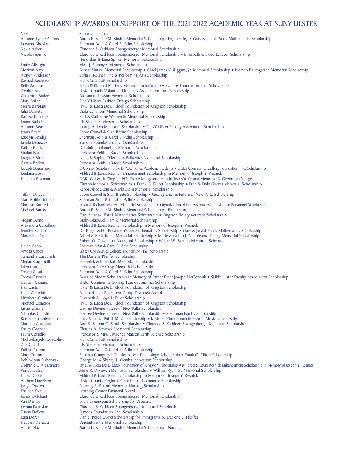NAME SCHOLARSHIP TITLE<br>Autumn-Lynne Aarons Aaron E. & Jane M

Michaelangelo Cozzolino<br>Zoe Cuciti

Autumn-Lynne Aarons Aaron E. & Jane M. Shultis Memorial Scholarship - Engineering • Gary & Janaki Patrik Mathematics Scholarship<br>Rowann Abosharr Sherman Adin & Carol E. Adin Scholarship Rowann Abosharr Sherman Adin & Carol E. Adin Scholarship<br>Nakia Ackert Shangen Clarence & Kathleen Spangenberger Memor Nakia Ackert **Clarence & Kathleen Spangenberger Memorial Scholarship**<br>Nicole Aguirre **Clarence & Cathleen Spangenberger Memorial Scholarship** Clarence & Kathleen Spangenberger Memorial Scholarship • Elizabeth & Lloyd LeFever Scholarship Hendrikus & Lena Spijker Memorial Scholarship Emily Albright Mica J. Stanmyer Memorial Scholarship<br>Moriom Amy Ashraf Shirazi Memorial Scholarship • Moriom Amy **Ashraf Shirazi Memorial Scholarship •** Chief James K. Riggins, Jr. Memorial Scholarship • Noreen Baumgarten Memorial Scholarship Artivah Anderson Sofia P. Reuner Fine & Performing Arts Scholarship Attiyah Anderson Sofia P. Reuner Fine & Performing Arts Scholarship<br>
Rashad Anderson Frank G. Elliott Scholarship Rashad Anderson Frank G. Elliott Scholarship<br>
Freda & Richard Martens Me Kelly Armour Freda & Richard Martens Memorial Scholarship • Symons Foundation, Inc. Scholarship<br>
Rebbie Auer Flutter County Volunteer Firemen's Association, Inc. Scholarship Debbie Auer Ulster County Volunteer Firemen's Association, Inc. Scholarship Catherine Bailey Alexandra Lawson Memorial Scholarship Mary Baker SUNY Ulster Fashion Design Scholarship<br>Sierra Barbiani Sierra Bay E. & Lucia De L. Klock Foundation of Sierra Barbiani Jay E. & Lucia De L. Klock Foundation of Kingston Scholarship Julia Barnett Viola C. Jansen Memorial Scholarship Karissa Barringer **Karl & Catherine Weibrecht Memorial Scholarship**<br> **Karl & Catherine Weibrecht Memorial Scholarship** Joann Bathrick Iris Stedener Memorial Scholarship Autumn Bear John J. Aitken Memorial Scholarship • SUNY Ulster Faculty Association Scholarship<br>Jenna Beare Eppie Convel & Stan Breite Scholarship Jenna Beare Eppie Convel & Stan Breite Scholarship Katelyn Bendig Sherman Adin & Carol E. Adin Scholarship<br>
Krysta Beneway Symons Foundation. Inc. Scholarship Krysta Beneway Symons Foundation, Inc. Scholarship Kaitlin Black Dominic J. Giamei, Jr. Memorial Scholarship<br>Shaina Blas Brofessor Keith LaBudde Scholarship Shaina Blas **Professor Keith LaBudde Scholarship**<br> **Shaina Blash Louis & Sophie Offermann Palkowics** Jocquez Blunt Louis & Sophie Offermann Palkowics Memorial Scholarship Cassia Bodon Professor Keith LaBudde Scholarship<br>
Joseph Bonarrigo COonnor Scholarship for BIPOC Police Joseph Bonarrigo **O'Connor Scholarship for BIPOC Police Academy Students • Ulster Community College Foundation, Inc. Scholarship<br>Keelana Bost Mildred & Louis Resnick Enhancement Scholarship in Memory of Joseph Y. Resnick** Keelana Bost Mildred & Louis Resnick Enhancement Scholarship in Memory of Joseph Y. Resnick<br>Helanna Bratman DAR Wilhwyck Chanter NS: Dame Margarette Hendrickse VanKeuren Memorial & DAR, Wiltwyck Chapter, NS; Dame Margarette Hendrickse VanKeuren Memorial & Governor George Clinton Memorial Scholarships • Frank G. Elliott Scholarship • Fred & Dale Guerra Memorial Scholarship Rabbi Alice Stein & Marla Stein Memorial Scholarship Tiffany Briggs Eppie Convel & Stan Breite Scholarship • George Devine Future of New Paltz Scholarship Starr-Robin Bullock Sherman Adin & Carol E. Adin Scholarship Starr-Robin Bullock Sherman Adin & Carol E. Adin Scholarship Madilyn Burnett Freda & Richard Martens Memorial Scholarship • Organization of Professional Administrative Personnel Scholarship Michael Burriss Aaron E. & Jane M. Shultis Memorial Scholarship - Engineering Aaron E. & Jane M. Shultis Memorial Scholarship - Engineering Gary & Janaki Patrik Mathematics Scholarship • Kingston Rotary Veterans Scholarship Megan Byrne **Braby/Blackwell Family Memorial Scholarship**<br>Alexandra Caballero **Brabaldian Mildred & Louis Resnick Scholarship in Memori** Alexandra Caballero Mildred & Louis Resnick Scholarship in Memory of Joseph Y. Resnick<br>
Jennifer Callan Dr. Roger & Dr. Rosanne Vetzer Mathematics Scholarship • Gany & Ja Jennifer Callan Dr. Roger & Dr. Rosanne Yetzer Mathematics Scholarship • Gary & Janaki Patrik Mathematics Scholarship Alfred & Bella Rehm Memorial Scholarship • Marie & Guido J. Napoletano Family Memorial Scholarship Robert O. Davenport Memorial Scholarship • Walter W. Bartlett Memorial Scholarship Helen Cano Sherman Adin & Carol E. Adin Scholarship<br>Amelia Capen Ulster Community College Foundation, Inc. Amelia Capen Ulster Community College Foundation, Inc. Scholarship<br>
Samantha Cardarelli The Darlene Pfeiffer Scholarship Samantha Cardarelli The Darlene Pfeiffer Scholarship<br>
Megan Carpinelli Frederick & Ellen Katt Memorial Megan Carpinelli Frederick & Ellen Katt Memorial Scholarship Jalen Carr <sup>Professor Clay Crisp Memorial Scholarship Deana Casal Sherman Adin & Carol E. Adin Scholarship</sup> Deana Casal Sherman Adin & Carol E. Adin Scholarship Trevor Cashara Beatrice Moore Scholarship in Memory of Father Peter Joseph McGowanb • SUNY Ulster Faculty Association Scholarship<br>Davyon Casiano Ulster Community College Foundation. Inc. Scholarship Dayvon Casiano Ulster Community College Foundation, Inc. Scholarship<br>Lisa Caston Ulster Law E. & Lucia De L. Klock Foundation of Kingston Scho Lisa Caston Jay E. & Lucia De L. Klock Foundation of Kingston Scholarship<br>Lacie Churchill Follett Higher Education Group Textbook Award Lacie Churchill Follett Higher Education Group Textbook Award<br>Elizabeth Cirafice Fizabeth & Lloyd LeFever Scholarship Elizabeth Cirafice Elizabeth & Lloyd LeFever Scholarship<br>Michael Cisneros Lav E. & Lucia De L. Klock Foundation Michael Cisneros Jay E. & Lucia De L. Klock Foundation of Kingston Scholarship<br>Justin Classie George Devine Future of New Paltz Scholarship Justin Classie George Devine Future of New Paltz Scholarship Nicholas Classie George Devine Future of New Paltz Scholarship • Spearman Family Scholarship Benjamin Coniguliaro Gary & Janaki Patrik Music Scholarship • Kevin E. Zimmerman Memorial Music Benjamin Coniguliaro Gary & Janaki Patrik Music Scholarship • Kevin E. Zimmerman Memorial Music Scholarship Marlene Constant Ann B. & John C. Smith Scholarship • Clarence & Kathleen Spangenberger Memorial Schola Marlene Constant Ann B. & John C. Smith Scholarship • Clarence & Kathleen Spangenberger Memorial Scholarship Karley Cooper Charles A. Schenck Memorial Scholarship Karley Cooper Charles A. Schenck Memorial Scholarship<br>
Laura Costello<br>
Professor & Mrs. Lawrence Matson Earth S Professor & Mrs. Lawrence Matson Earth Science Scholarship Frank G. Elliott Scholarship Zoe Cuciti **Iris Stedener Memorial Scholarship**<br>Initia Iris Sherman Adin & Carol E. Adin Scho Kaitlyn Curran Sherman Adin & Carol E. Adin Scholarship<br>Mary Curran Sherman Ellucian Company L.P. Information Technolo Mary Curran **Ellucian Company L.P. Information Technology Scholarship • Frank G. Elliott Scholarship Robin-Lynn Dabrowski** George M. & Shirley J. Krembs Innovation Scholarship • Frank G. Elliott Scholarship Robin-Lynn Dabrowski George M. & Shirley J. Krembs Innovation Scholarship Dominic D'Alessandro Jay E. & Lucia De L. Klock Foundation of Kingston Scholarship • Mildred & Louis Resnick Enhancement Scholarship in Memory of Joseph Y. Resnick<br>Vonda Daley Anne R. Donovan Memorial Scholarship • William Vonda Daley Anne R. Donovan Memorial Scholarship • William Ryan, Sr. Memorial Scholarship Valley Daole<br>Haley Daole Mildred & Louis Resnick Scholarship in Memory of Joseph Y. Resnick Haley Daole<br>
Mildred & Louis Resnick Scholarship in Memory of Joseph Y. Resnick<br>
Mildred & Louis Regional Chamber of Commerce Scholarship Andrew Davidson Ulster County Regional Chamber of Commerce Scholarship Jaclyn Davren **Dorothy E. Patton Memorial Nursing Scholarship**<br> **Scholarship** Center Financial Award Karleen Dee Learning Center Financial Award<br>
Iames Delehant Clarence & Kathleen Spangenber James Delehant Clarence & Kathleen Spangenberger Memorial Scholarship Van Demps<br>
1991 - Louis Greenspan Scholarship for Veterans<br>
1991 - Clarence & Kathleen Spangenberger Mem Joshua Demskie Clarence & Kathleen Spangenberger Memorial Scholarship Diana DePew Symons Foundation, Inc. Scholarship Kaja Deren Daniel Perez Cueva Scholarship for Immigrants by Darlene L. Pfeiffer<br>Heather DeRosa Vincent Leone Memorial Scholarship Heather DeRosa Vincent Leone Memorial Scholarship<br>Amos Diaz Aaron E. & Jane M. Shultis Memorial Aaron E. & Jane M. Shultis Memorial Scholarship - Nursing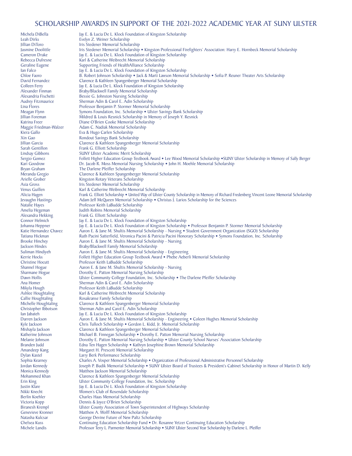Michela DiBella Jay E. & Lucia De L. Klock Foundation of Kingston Scholarship<br>Leah Dirks Fore Fore Kingston Z. Weiner Scholarship Leah Dirks Evelyn Z. Weiner Scholarship Jillian DiToro Iris Stedener Memorial Scholarship<br>Jasmine Doolittle Iris Stedener Memorial Scholarship Jasmine Doolittle Iris Stedener Memorial Scholarship • Kingston Professional Firefighters' Association: Harry E. Hornbeck Memorial Scholarship Cameron Drake Jav E. & Lucia De L. Klock Foundation of Kingston Scholarship Cameron Drake Jay E. & Lucia De L. Klock Foundation of Kingston Scholarship<br>Rebecca Dufresne Karl & Catherine Weihrecht Memorial Scholarship Rebecca Dufresne Karl & Catherine Weibrecht Memorial Scholarship<br>
Geraline Eugene Supporting Friends of HealthAlliance Scholarship Geraline Eugene Supporting Friends of HealthAlliance Scholarship<br>
Ian Falco Ian Falco Ian Eleven Supporting Friends of HealthAlliance Scholarship Ian Falco<br>
Iay E. & Lucia De L. Klock Foundation of Kingston Scholarship<br>
B. Robert Johnson Scholarship • Jack & Marti Lawson Memoria Chloe Faoro B. Robert Johnson Scholarship • Jack & Marti Lawson Memorial Scholarship • Sofia P. Reuner Theater Arts Scholarship<br>David Fernandez Clarence & Kathleen Spangenberger Memorial Scholarship David Fernandez Clarence & Kathleen Spangenberger Memorial Scholarship Colleen Ferry Ferry Jay E. & Lucia De L. Klock Foundation of Kingston Scholarship<br>Alexander Finman Braby/Blackwell Family Memorial Scholarship Alexander Finman Braby/Blackwell Family Memorial Scholarship<br>Alexandria Fischetti Bessie G. Johnston Nursing Scholarship Alexandria Fischetti Bessie G. Johnston Nursing Scholarship Audrey Fitzmaurice Sherman Adin & Carol E. Adin Scholarship Lina Flores **Professor Benjamin P. Stormer Memorial Scholarship**<br>Meagan Flynn Symons Foundation, Inc. Scholarship • Ulster Savine Meagan Flynn Symons Foundation, Inc. Scholarship • Ulster Savings Bank Scholarship<br>Stephen Scholarship in Memory of Joseph Y. Resnick Jillian Foreman Mildred & Louis Resnick Scholarship in Memory of Joseph Y. Resnick Katrina Freer **Diane O'Brien Cooke Memorial Scholarship**<br>
Maggie Friedman-Walzer Adam C. Nadiak Memorial Scholarship Maggie Friedman-Walzer Adam C. Nadiak Memorial Scholarship Kiera Gallo Eva & Hugo Carlen Scholarship<br>
Xin Gao<br>
Rondout Savings Bank Scholars Xin Gao **Rondout Savings Bank Scholarship**<br>Iillian Garcia **Roman Scholarship Clarence & Kathleen Spangenberge** Jillian Garcia Clarence & Kathleen Spangenberger Memorial Scholarship Sarah Gentillon Frank G. Elliott Scholarship<br>
Lindsay Gibbons SUNY Ulster Academic Mer Lindsay Gibbons SUNY Ulster Academic Merit Scholarship<br>
Sergio Gomez<br>
Follett Higher Education Group Textbook A Sergio Gomez Follett Higher Education Group Textbook Award • Lee Wood Memorial Scholarship •SUNY Ulster Scholarship in Memory of Sally Berger<br>
Follett Higher Education Group Textbook Award • Lee Wood Memorial Scholarship Kari Goodrow Dr. Jacob R. Moss Memorial Nursing Scholarship • John H. Moehle Memorial Scholarship Bryan Graham The Darlene Pfeiffer Scholarship Bryan Graham The Darlene Pfeiffer Scholarship<br>
Meranda Gregio Clarence & Kathleen Spangenberg Meranda Gregio Clarence & Kathleen Spangenberger Memorial Scholarship<br>Arielle Grober Kingston Rotary Veterans Scholarship Arielle Grober Kingston Rotary Veterans Scholarship Asia Gross **Iris Stedener Memorial Scholarship**<br>
Venus Guillen **III. Is Stedener Memorial Scholarship**<br>
Karl & Catherine Weibrecht Memor Venus Guillen Karl & Catherine Weibrecht Memorial Scholarship<br>Alicia Hagen Frank G. Elliott Scholarship • United Way of Ulster C Alicia Hagen Frank G. Elliott Scholarship • United Way of Ulster County Scholarship in Memory of Richard Fredenberg Vincent Leone Memorial Scholarship **in Memorial Scholarship in Memorial Scholarship I**evaughn Hastings Ada Jevaughn Hastings Adam Jeff McQueen Memorial Scholarship • Christus J. Larios Scholarship for the Sciences<br>Natalie Hayes Professor Keith LaBudde Scholarship Natalie Hayes Professor Keith LaBudde Scholarship Amelia Hegeman Judith Robins Memorial Scholarship<br>Alexandra Hekking Frank G. Elliott Scholarship Alexandra Hekking Frank G. Elliott Scholarship<br>Connor Helmich Iav E. & Lucia De L. Klock F Connor Helmich Jay E. & Lucia De L. Klock Foundation of Kingston Scholarship<br>Johanna Heppner Jay E. & Lucia De L. Klock Foundation of Kingston Scholarship Johanna Heppner Jay E. & Lucia De L. Klock Foundation of Kingston Scholarship • Professor Benjamin P. Stormer Memorial Scholarship Katie Hernandez Chavez Aaron E. & Jane M. Shultis Memorial Scholarship - Nursing • Student Katie Hernandez Chavez Aaron E. & Jane M. Shultis Memorial Scholarship - Nursing • Student Government Organization (SGO) Scholarship<br>Tatiana Hickman Kuth Pacini Satterfield. Veronica Pacini & Patricia Pacini Honorary Schol Tatiana Hickman Ruth Pacini Satterfield, Veronica Pacini & Patricia Pacini Honorary Scholarship • Symons Foundation, Inc. Scholarship Brooke Hinchey Aaron E. & Jane M. Shultis Memorial Scholarship - Nursing Brooke Hinchey **Aaron E. & Jane M. Shultis Memorial Scholarship - Nursing**<br>Jackson Hindes **Braby/Blackwell Family Memorial Scholarship** Jackson Hindes Braby/Blackwell Family Memorial Scholarship Suliman Hindiyeh **Aaron E. & Jane M. Shultis Memorial Scholarship - Engineering**<br>Kerrie Hockx **Follett Higher Education Group Textbook Award •** Phebe Aeber Kerrie Hockx<br>Christine Hocutt Follett Higher Education Group Textbook Award • Phebe Aeberli Memorial Scholarship<br>Christine Hocutt Professor Keith LaBudde Scholarship Christine Hocutt Professor Keith LaBudde Scholarship Shannel Hogue Aaron E. & Jane M. Shultis Memorial Scholarship - Nursing Sharmane Hogue Dorothy E. Patton Memorial Nursing Scholarship<br>Dawn Hollis Black Hotel Community College Foundation Inc. Schol Dawn Hollis **The Ulster Community College Foundation**, Inc. Scholarship • The Darlene Pfeiffer Scholarship Ana Homer<br>Ana Homer Sherman Adin & Carol E. Adin Scholarship Ana Homer Sherman Adin & Carol E. Adin Scholarship<br>Mikvla Hough Sherman Adin & Carol E. Adin Scholarship Mikyla Hough Professor Keith LaBudde Scholarship<br>
Ashlee Houghtaling Karl & Catherine Weibrecht Memoria Ashlee Houghtaling Karl & Catherine Weibrecht Memorial Scholarship<br>
Callie Houghtaling Rosakranse Family Scholarship Callie Houghtaling **Rosakranse Family Scholarship**<br>Michelle Houghtaling **Clarence & Kathleen Spangenb** Michelle Houghtaling Clarence & Kathleen Spangenberger Memorial Scholarship<br>Christopher Ibbotson Sherman Adin and Carol E. Adin Scholarship Christopher Ibbotson<br>
Sherman Adin and Carol E. Adin Scholarship<br>
Lan Jabateh (Sing Law E. & Lucia De L. Klock Foundation of King Ian Jabateh *Ian Jabateh Jay E. & Lucia De L. Klock Foundation of Kingston Scholarship*<br>Darren Jackson Aaron E. & Jane M. Shultis Memorial Scholarship - Engineering Darren Jackson Aaron E. & Jane M. Shultis Memorial Scholarship - Engineering • Coleen Hughes Memorial Scholarship - Kyle Jackson Chris Tulloch Scholarship • Gordon L. Kidd, Jr. Memorial Scholarship Kyle Jackson Chris Tulloch Scholarship • Gordon L. Kidd, Jr. Memorial Scholarship Mishayla Jackson Clarence & Kathleen Spangenberger Memorial Scholarship Mishayla Jackson Clarence & Kathleen Spangenberger Memorial Scholarship<br>
Katherine Johnson Michael B. Finnegan Scholarship • Dorothy E. Patton Mem Katherine Johnson Michael B. Finnegan Scholarship • Dorothy E. Patton Memorial Nursing Scholarship • Internet<br>Melanie Johnson Dorothy E. Patton Memorial Nursing Scholarship • Illster County School Nurses' Ass Melanie Johnson 2006 Dorothy E. Patton Memorial Nursing Scholarship • Ulster County School Nurses' Association Scholarship<br>Branden Judd Edna Ten Hagen Scholarship • Kathryn Josephine Brown Memorial Scholarship Branden Judd Edna Ten Hagen Scholarship • Kathryn Josephine Brown Memorial Scholarship<br>Amandeep Kang Margaret H. Prescott Memorial Scholarship Amandeep Kang Margaret H. Prescott Memorial Scholarship<br>
Dylan Kastel Margaret H. Larry Berk Performance Scholarship Dylan Kastel Larry Berk Performance Scholarship Sophia Kearney Charles A. Vosper Memorial Scholarship • Organization of Professional Administrative Personnel Scholarship Iordan Kennedy<br>Joseph P. Budik Memorial Scholarship • SUNY Ulster Board of Trustees & President's Ca Jordan Kennedy Joseph P. Budik Memorial Scholarship • SUNY Ulster Board of Trustees & President's Cabinet Scholarship in Honor of Martin D. Kelly<br>Monica Kennedy Matthew Jackson Memorial Scholarship Monica Kennedy **Matthew Jackson Memorial Scholarship**<br>Mohammed Khan **Clarence & Kathleen Spangenberger Me** Mohammed Khan Clarence & Kathleen Spangenberger Memorial Scholarship<br>
Erin King Clarence Muster Community College Foundation, Inc. Scholarship Erin King Ulster Community College Foundation, Inc. Scholarship Justin Klare **Jay E. & Lucia De L. Klock Foundation of Kingston Scholarship**<br>Nikki Knecht Women's Club of Rosendale Scholarship Nikki Knecht Women's Club of Rosendale Scholarship Berlin Koehler Charles Haas Memorial Scholarship<br>Victoria Kopp Charles Bernis & Joyce O'Brien Scholarship Victoria Kopp Dennis & Joyce O'Brien Scholarship Biranesh Krempl **Ulster County Association of Town Superintendent of Highways Scholarship**<br>
Genevieve Kronner Matthew A. Wolff Memorial Scholarship Genevieve Kronner Matthew A. Wolff Memorial Scholarship<br>
Natasha Kulcsar<br>
George Devine Future of New Paltz Scho Natasha Kulcsar George Devine Future of New Paltz Scholarship Chelsea Kuss Continuing Education Scholarship Fund • Dr. Rosanne Yetzer Continuing Education Scholarship Professor Terry L. Parmenter Memorial Scholarship • SUNY Ulster Second Year Scholarship by Darlene L. Pfeiffer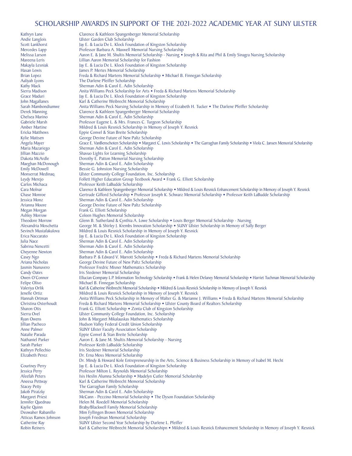Kathryn Lane Clarence & Kathleen Spangenberger Memorial Scholarship Andie Langlois Ulster Garden Club Scholarship<br>Scott Lankhorst Jay E. & Lucia De L. Klock Found Scott Lankhorst Jay E. & Lucia De L. Klock Foundation of Kingston Scholarship<br>Mercedes Lapp Professor Barbara A. Maxwell Memorial Nursing Scholarship Mercedes Lapp Professor Barbara A. Maxwell Memorial Nursing Scholarship<br>• Melissa Larson Aaron E. & Jane M. Shultis Memorial Scholarship - Nursing Melissa Larson Aaron E. & Jane M. Shultis Memorial Scholarship - Nursing • Joseph & Rita and Phil & Emily Sinagra Nursing Scholarship<br>Mareena Leris I illian Aaron Memorial Scholarship for Eashion Mareena Leris **Lillian Aaron Memorial Scholarship for Fashion**<br>Makayla Lesniak **Lillian Aaron Memorial Scholarship for Fashion** Makayla Lesniak Jay E. & Lucia De L. Klock Foundation of Kingston Scholarship<br>Hasan Lewis James P. Mertes Memorial Scholarship Hasan Lewis James P. Mertes Memorial Scholarship<br>Brian Lopez<br>Freda & Richard Martens Memorial Sc Brian Lopez Freda & Richard Martens Memorial Scholarship • Michael B. Finnegan Scholarship<br>Aaliyah Lyons The Darlene Pfeiffer Scholarship Aaliyah Lyons The Darlene Pfeiffer Scholarship<br>
Kathy Mack Sherman Adin & Carol E. Adin S Kathy Mack Sherman Adin & Carol E. Adin Scholarship<br>Sierra Madison Anita Williams Peck Scholarship for Arts • Sierra Madison Anita Williams Peck Scholarship for Arts • Freda & Richard Martens Memorial Scholarship Grace Maduri<br>Grace Maduri Grace Maduri Jay E. & Lucia De L. Klock Foundation of Kingston Scholarship Grace Maduri **Jay E. & Lucia De L. Klock Foundation of Kingston Scholarship**<br>John Magallanes **Karl & Catherine Weibrecht Memorial Scholarship** John Magallanes **Karl & Catherine Weibrecht Memorial Scholarship**<br>Sarah Mambondiumwe Anita Williams Peck Nursing Scholarship in Memo Sarah Mambondiumwe Anita Williams Peck Nursing Scholarship in Memory of Eizabeth H. Tucker • The Darlene Pfeiffer Scholarship<br>Derek Manning Clarence & Kathleen Spangenberger Memorial Scholarship Derek Manning Clarence & Kathleen Spangenberger Memorial Scholarship<br>
Chelsea Marino Sherman Adin & Carol E. Adin Scholarship Chelsea Marino Sherman Adin & Carol E. Adin Scholarship Gabriele Marsh **Professor Eugene L. & Mrs. Frances C. Turgeon Scholarship**<br>
Amber Martine Mildred & Louis Respick Scholarship in Memory of Joseph Y Amber Martine Mildred & Louis Resnick Scholarship in Memory of Joseph Y. Resnick<br>
Ericka Matthews Eppie Convel & Stan Breite Scholarship Ericka Matthews Eppie Convel & Stan Breite Scholarship Kylie Mattsen George Devine Future of New Paltz Scholarship<br>Angela Mayer Grace E. VanBenschoten Scholarship • Margaret C. Angela Mayer Grace E. VanBenschoten Scholarship • Margaret C. Lewis Scholarship • The Garraghan Family Scholarship • Viola C. Jansen Memorial Scholarship Maria Mazariego Sherman Adin & Carol E. Adin Scholarship Jillian Mazzio **Shavuo Lights for Learning Scholarship**<br>Dakota McArdle **State Boot Dorothy E. Patton Memorial Nursing Scholars** Dakota McArdle Dorothy E. Patton Memorial Nursing Scholarship Maeghan McDonough Sherman Adin & Carol E. Adin Scholarship<br>
Emily McDowell Bessie G. Johnston Nursing Scholarship Emily McDowell **Bessie G. Johnston Nursing Scholarship**<br>Monserrat Medinao **Bessie Community College Foundation**, I Monserrat Medinaq Ulster Community College Foundation, Inc. Scholarship Leydy Merejo Follett Higher Education Group Textbook Award • Frank G. Elliott Scholarship Carlos Michaca Professor Keith LaBudde Scholarship Carlos Michaca Professor Keith LaBudde Scholarship Cara Molnar Clarence & Kathleen Spangenberger Memorial Scholarship • Mildred & Louis Resnick Enhancement Scholarship in Memory of Joseph Y. Resnick Charencement Scholarship in Memory of Joseph Y. Resnick Charence Charence Chase Monroe Gertrude Gifford Scholarship • Professor Joseph K. Schwarz Memorial Scholarship • Professor Keith LaBudde Scholarship • Professor Keith LaBudde Scholarship Jessica Monz Sherman Adin & Carol E. Adin Scholarship Arianna Moore George Devine Future of New Paltz Scholarship Megan Morgan **Frank G. Elliott Scholarship**<br>Ashlev Morrow **Coleen Hughes Memorial Sc** Ashley Morrow **Coleen Hughes Memorial Scholarship**<br>Theodore Morrow **Clenn B. Sutherland & Cynthia A. Low** Theodore Morrow Glenn B. Sutherland & Cynthia A. Lowe Scholarship • Louis Berger Memorial Scholarship - Nursing<br>Alexandria Moschetta George M. & Shirley L. Krembs Innovation Scholarship • SUNY Ulster Scholarship in Memory Alexandria Moschetta George M. & Shirley J. Krembs Innovation Scholarship • SUNY Ulster Scholarship in Memory of Sally Berger<br>Sevinch Mustafakulova Mildred & Louis Respick Scholarship in Memory of Joseph Y. Respick Sevinch Mustafakulova Mildred & Louis Resnick Scholarship in Memory of Joseph Y. Resnick<br>Frica Naccarato Iav E. & Lucia De L. Klock Foundation of Kingston Scholarship Erica Naccarato Jay E. & Lucia De L. Klock Foundation of Kingston Scholarship<br>Julia Nace Sherman Adin & Carol E. Adin Scholarship Julia Nace Sherman Adin & Carol E. Adin Scholarship Sabrina Nencetti Sherman Adin & Carol E. Adin Scholarship<br>Chevenne Newton Sherman Adin & Carol E. Adin Scholarship Cheyenne Newton Sherman Adin & Carol E. Adin Scholarship Casey Ngo **Barbara P. & Edward V. Marrott Scholarship** • Freda & Richard Martens Memorial Scholarship وCeorge Devine Future of New Paltz Scholarship Ariana Nicholas George Devine Future of New Paltz Scholarship Jasmin Nunuvero Professor Fredric Misner Mathematics Scholarship **Candy Oates** Iris Stedener Memorial Scholarship<br> **Channel Company IP Information Technolarship**<br> **Channel Company IP Information Technolarship** Owen O'Connor Fellucian Company L.P. Information Technology Scholarship • Frank & Helen Delaney Memorial Scholarship • Harriet Tuchman Memorial Scholarship • Frank Company L.P. Information Technology Scholarship • Frank & Felipe Olivo **Michael B. Finnegan Scholarship**<br>
Valeriya Orlik **Michael B. Karl & Catherine Weibrecht Memori**a Valeriya Orlik Karl & Catherine Weibrecht Memorial Scholarship • Mildred & Louis Resnick Scholarship in Memory of Joseph Y. Resnick<br>Ienelle Ortiz Mildred & Louis Resnick Scholarship in Memory of Joseph Y. Resnick Jenelle Ortiz **Mildred & Louis Resnick Scholarship in Memory of Joseph Y. Resnick**<br>Hannah Ortman **Milliams Peck Scholarship in Memory of Walter G. & Marianne** Hannah Ortman **Anita Williams Peck Scholarship in Memory of Walter G. & Marianne J. Williams • Freda & Richard Martens Memorial Scholarship Christina Osterhoudt Freda & Richard Martens Memorial Scholarship • Ulster County** Christina Osterhoudt Freda & Richard Martens Memorial Scholarship • Ulster County Board of Realtors Scholarship<br>Sharon Otis Frank G. Elliott Scholarship • Zonta Club of Kingston Scholarship Sharon Otis Frank G. Elliott Scholarship • Zonta Club of Kingston Scholarship<br>Sierra Ovel Illster Community College Foundation Inc. Scholarship Sierra Ovel **Ulster Community College Foundation, Inc. Scholarship**<br> **Ryan Owens Ulster Community College Foundation** Scholarship Ryan Owens **John & Margaret Mikalauskas Mathematics Scholarship**<br>Jillian Pacheco **Hudson Valley Federal Credit Union Scholarship** Jillian Pacheco Hudson Valley Federal Credit Union Scholarship Anne Palmer SUNY Ulster Faculty Association Scholarship<br>
Natalie Parada Finnie Convel & Stan Breite Scholarship Natalie Parada Eppie Convel & Stan Breite Scholarship Nathaniel Parker Aaron E. & Jane M. Shultis Memorial Scholarship - Nursing<br>Sarah Parker Professor Keith LaBudde Scholarship Sarah Parker Professor Keith LaBudde Scholarship Kathryn Pellechio Iris Stedener Memorial Scholarship<br>
Elizabeth Perez Dr. Erna Moss Memorial Scholarshi Dr. Erna Moss Memorial Scholarship Dr. Mindy & Howard Kole Entrepreneurship in the Arts, Science & Business Scholarship in Memory of Isabel M. Hecht Courtney Perry **Jay E. & Lucia De L. Klock Foundation of Kingston Scholarship**<br>Jessica Perry **Professor Milton L. Reynolds Memorial Scholarship** Jessica Perry **Professor Milton L. Reynolds Memorial Scholarship**<br>Afeefah Peters **Professor Milton L. Reynolds Memorial Scholarship** • Madelyn Cutler M Afeefah Peters Isis Heslin Alumna Scholarship • Madelyn Cutler Memorial Scholarship • Madelyn Cutler Memorial Scholarship • Madelyn Cutler Memorial Scholarship Aneesa Pettway Karl & Catherine Weibrecht Memorial Scholarship<br>Stacey Petty The Garraghan Family Scholarship Stacey Petty The Garraghan Family Scholarship Jakob Piratzky Sherman Adin & Carol E. Adin Scholarship Margaret Priest McCann - Pezzino Memorial Scholarship • The Dyson Foundation Scholarship<br>
1991 - Helen M. Roedell Memorial Scholarship Jennifer Quednau Helen M. Roedell Memorial Scholarship Kaylie Quinn **Braby/Blackwell Family Memorial Scholarship**<br>19 Deowaher Rabanillo Mim Fyllingen Brown Memorial Scholarship Deowaher Rabanillo Mim Fyllingen Brown Memorial Scholarship Atticus Ramos Johnson Joseph Friedman Memorial Scholarship<br>Catherine Ray SUNY Ulster Second Year Scholarship F Catherine Ray SUNY Ulster Second Year Scholarship by Darlene L. Pfeiffer<br>
Robin Reiners Karl & Catherine Weibrecht Memorial Scholarship • Mildre Karl & Catherine Weibrecht Memorial Scholarshipn • Mildred & Louis Resnick Enhancement Scholarship in Memory of Joseph Y. Resnick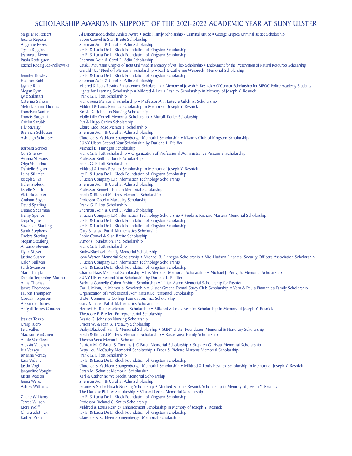Saige Mae Reisert Al DiBernardo Scholar Athlete Award • Bedell Family Scholarship - Criminal Justice • George Krupica Criminal Justice Scholarship Jessica Reposa Eppie Convel & Stan Breite Scholarship Angeline Reyes Sherman Adin & Carol E. Adin Scholarship<br>
Trysta Riggins Jay E. & Lucia De L. Klock Foundation of Ki Trysta Riggins Jay E. & Lucia De L. Klock Foundation of Kingston Scholarship<br>Jeannette Rivera Jay E. & Lucia De L. Klock Foundation of Kingston Scholarship Jeannette Rivera Jay E. & Lucia De L. Klock Foundation of Kingston Scholarship<br>Paola Rodriguez Sherman Adin & Carol E. Adin Scholarship Paola Rodriguez Sherman Adin & Carol E. Adin Scholarship Catskill Mountains Chapter of Trout Unlimited in Memory of Art Flick Scholarship • Endowment for the Preservation of Natural Resources Scholarship Gerald "Jay" Neuhoff Memorial Scholarship • Karl & Catherine Weibrecht Memorial Scholarship Jennifer Rowles Jay E. & Lucia De L. Klock Foundation of Kingston Scholarship<br>Heather Rubi Sherman Adin & Carol E. Adin Scholarship Heather Rubi Sherman Adin & Carol E. Adin Scholarship Jaymie Ruiz **Mildred & Louis Resnick Enhancement Scholarship in Memory of Joseph Y. Resnick • O'Connor Scholarship for BIPOC Police Academy Students<br>Megan Ryan Megan Richts for Learning Scholarship • Mildred & Louis Resnic** Megan Ryan Lights for Learning Scholarship • Mildred & Louis Resnick Scholarship in Memory of Joseph Y. Resnick<br>
Ryle Salanitri Kyle Frank G. Elliott Scholarship Kyle Salanitri Frank G. Elliott Scholarship<br>Caterina Salazar Frank Sena Memorial Schola Caterina Salazar Frank Sena Memorial Scholarship • Professor Ann LeFevre Gilchrist Scholarship<br>Melody Sanni-Thomas Mildred & Louis Resnick Scholarship in Memory of Joseph Y. Resnick Melody Sanni-Thomas Mildred & Louis Resnick Scholarship in Memory of Joseph Y. Resnick<br>Francisco Santos Bessie G. Johnston Nursing Scholarship Francisco Santos Bessie G. Johnston Nursing Scholarship<br>Francis Sargenti Molly Lilly Correll Memorial Scholarship Francis Sargenti Molly Lilly Correll Memorial Scholarship • Muroff-Kotler Scholarship Caitlin Sarubbi Eva & Hugo Carlen Scholarship Lily Savatgy Claire Kidd Rose Memorial Scholarship Brennan Schlusser Sherman Adin & Carol E. Adin Scholarship<br>
Ashleigh Schreiber Clarence & Kathleen Spangenberger Memor Clarence & Kathleen Spangenberger Memorial Scholarship • Kiwanis Club of Kingston Scholarship SUNY Ulster Second Year Scholarship by Darlene L. Pfeiffer Barbara Scriber Michael B. Finnegan Scholarship<br>
Cori Sherow Frank G. Elliott Scholarship • Or Cori Sherow Frank G. Elliott Scholarship • Organization of Professional Administrative Personnel Scholarship<br>Ayanna Shevans Professor Keith LaBudde Scholarship Ayanna Shevans Professor Keith LaBudde Scholarship Olga Shmarina Frank G. Elliott Scholarship<br>
Danielle Signor Mildred & Louis Resnick Scl Danielle Signor Mildred & Louis Resnick Scholarship in Memory of Joseph Y. Resnick<br>Laina Silliman Jay E. & Lucia De L. Klock Foundation of Kingston Scholarship Laina Silliman Jay E. & Lucia De L. Klock Foundation of Kingston Scholarship<br>Joseph Silva Ellucian Company L.P. Information Technology Scholarship Joseph Silva Ellucian Company L.P. Information Technology Scholarship Haley Sioleski Sherman Adin & Carol E. Adin Scholarship<br>Estelle Smith Professor Kenneth Hallam Memorial Schola Estelle Smith **Professor Kenneth Hallam Memorial Scholarship**<br>1991 - Preda & Richard Martens Memorial Scholarship Victoria Somer Freda & Richard Martens Memorial Scholarship Graham Soyer Professor Cecelia Macauley Scholarship<br>
David Sparling<br>
Frank G. Elliott Scholarship David Sparling Frank G. Elliott Scholarship<br>Duane Spearman Sherman Adin & Carol E. A Duane Spearman Sherman Adin & Carol E. Adin Scholarship<br>
Henry Spencer Ellucian Company L.P. Information Technolo Henry Spencer Ellucian Company L.P. Information Technology Scholarship • Freda & Richard Martens Memorial Scholarship - Deia Souire Islamical Scholarship Deia Souire Deja Squire Jay E. & Lucia De L. Klock Foundation of Kingston Scholarship<br>Savannah Starkings Jay E. & Lucia De L. Klock Foundation of Kingston Scholarship Savannah Starkings Jay E. & Lucia De L. Klock Foundation of Kingston Scholarship<br>Sarah Stephens Gary & Janaki Patrik Mathematics Scholarship Sarah Stephens Gary & Janaki Patrik Mathematics Scholarship<br>
Drebra Sterling Eppie Convel & Stan Breite Scholarship Drebra Sterling Eppie Convel & Stan Breite Scholarship Megan Steubing Symons Foundation, Inc. Scholarship<br>
Antonio Stevens Frank G. Elliott Scholarship Antonio Stevens Frank G. Elliott Scholarship Flynn Steyer **Braby/Blackwell Family Memorial Scholarship**<br>Justine Suarez **Braby/Blackwell Family Memorial Scholarship • Michael** Justine Suarez John Warren Memorial Scholarship • Michael B. Finnegan Scholarship • Mid-Hudson Financial Security Officers Association Scholarship<br>Calen Sullivan Company L.P. Information Technology Scholarship Calen Sullivan **Ellucian Company L.P. Information Technology Scholarship**<br>Faith Swanson **Ellucian Company L.P. Information Scholarship** Faith Swanson Faith Swanson Jay E. & Lucia De L. Klock Foundation of Kingston Scholarship<br>Maria Tanjila Charles Haas Memorial Scholarship • Iris Stedener Memorial Scholarship Maria Tanjila Charles Haas Memorial Scholarship • Iris Stedener Memorial Scholarship • Michael J. Perry, Jr. Memorial Scholarship Charles Haas Memorial Scholarship • Michael J. Perry, Jr. Memorial Scholarship Dakota Terpen Dakota Terpening-Marino SUNY Ulster Second Year Scholarship by Darlene L. Pfeiffer Anna Thomas Barbara Connelly Cohen Fashion Scholarship • Lillian Aaron Memorial Scholarship for Fashion James Thompson Carl J. Mihm, Jr. Memorial Scholarship • Utster-Greene Dental Study Club Scholarship • Vern James Thompson Carl J. Mihm, Jr. Memorial Scholarship • Ulster-Greene Dental Study Club Scholarship • Vern & Paula Piantanida Family Scholarship Lauren Thompson Organization of Professional Administrative Personnel Scholar Lauren Thompson **Organization of Professional Administrative Personnel Scholarship**<br>Caedan Torgersen **Carlo Ulster Community College Foundation**, Inc. Scholarship Caedan Torgersen Ulster Community College Foundation, Inc. Scholarship<br>Alexander Torres Cary & Janaki Patrik Mathematics Scholarship Alexander Torres **Gary & Janaki Patrik Mathematics Scholarship**<br>Abigail Torres Condezo **Herbert H. Reuner Memorial Scholarship** • M Herbert H. Reuner Memorial Scholarship • Mildred & Louis Resnick Scholarship in Memory of Joseph Y. Resnick Theodore P. Bleffert Entrepreneurial Scholarship Jessica Tozzo Bessie G. Johnston Nursing Scholarship Craig Tuero Ernest W. & Jean B. Trelawny Scholarship Lela Valles Braby/Blackwell Family Memorial Scholarship • SUNY Ulster Foundation Memorial & Honorary Scholarship<br>Bradison VanCuren Freda & Richard Martens Memorial Scholarship • Rosakranse Family Scholarship Madison VanCuren Freda & Richard Martens Memorial Scholarship • Rosakranse Family Scholarship<br>Annie VanKleeck Theresa Sena Memorial Scholarship Annie VanKleeck Theresa Sena Memorial Scholarship Alexsia Vaughan Patricia M. O'Brien & Timothy J. O'Brien Memorial Scholarship • Stephen G. Hyatt Memorial Scholarship و Iris Veasev<br>Patricia Memorial Scholarship • Freda & Richard Martens Memorial Scholarship و Freda & Ric Iris Veasey **Betty Lou McCauley Memorial Scholarship • Freda & Richard Martens Memorial Scholarship**<br>Brianna Verney Frank G. Elliott Scholarship Brianna Verney Frank G. Elliott Scholarship Kara Vidulich Jay E. & Lucia De L. Klock Foundation of Kingston Scholarship<br>Justin Vogt **Clarence & Kathleen Spangenberger Memorial Scholarship •** M Justin Vogt Clarence & Kathleen Spangenberger Memorial Scholarship • Mildred & Louis Resnick Scholarship in Memory of Joseph Y. Resnick<br>Jacqueline Vought Sarah M. Schmidt Memorial Scholarship Jacqueline Vought Sarah M. Schmidt Memorial Scholarship Justin Watson Karl & Catherine Weibrecht Memorial Scholarship Jenna Weiss Sherman Adin & Carol E. Adin Scholarship Jerome & Sadie Hirsch Nursing Scholarship • Mildred & Louis Resnick Scholarship in Memory of Joseph Y. Resnick The Darlene Pfeiffer Scholarship • Vincent Leone Memorial Scholarship **Zhane Williams** Jay E. & Lucia De L. Klock Foundation of Kingston Scholarship<br>Teresa Wilson **Professor Richard C. Smith Scholarship** Teresa Wilson Professor Richard C. Smith Scholarship Kiera Wolff Mildred & Louis Resnick Enhancement Scholarship in Memory of Joseph Y. Resnick<br>Chiara Zlotnick (ave. 8 Lucia De L. Klock Foundation of Kingston Scholarship Chiara Zlotnick Jay E. & Lucia De L. Klock Foundation of Kingston Scholarship<br>
Kaitlyn Zoller Clarence & Kathleen Spangenberger Memorial Scholarship Clarence & Kathleen Spangenberger Memorial Scholarship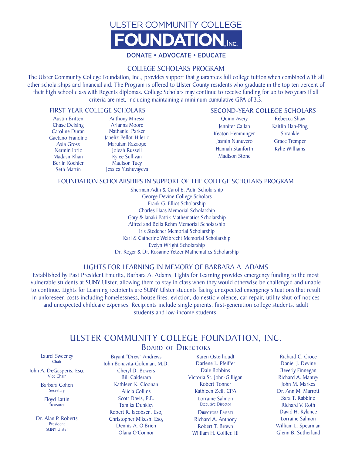

#### COLLEGE SCHOLARS PROGRAM

The Ulster Community College Foundation, Inc., provides support that guarantees full college tuition when combined with all other scholarships and financial aid. The Program is offered to Ulster County residents who graduate in the top ten percent of their high school class with Regents diplomas. College Scholars may continue to receive funding for up to two years if all criteria are met, including maintaining a minimum cumulative GPA of 3.3.

#### FIRST-YEAR COLLEGE SCHOLARS

Austin Britten Chase Deising Caroline Duran Gaetano Frandino Asia Gross Nermin Ibric Madasir Khan Berlin Koehler Seth Martin

Anthony Miressi Arianna Moore Nathaniel Parker Janeliz Pellot-Hilerio Maruiam Razaque Joleah Russell Kylee Sullivan Madison Tuey Jessica Yushuvayeva

#### SECOND-YEAR COLLEGE SCHOLARS

Quinn Avery Jennifer Callan Keaton Hemminger Jasmin Nunuvero Hannah Stanforth Madison Stone

Rebecca Shaw Kaitlin Han-Ping Sprankle Grace Tremper Kylie Williams

#### FOUNDATION SCHOLARSHIPS IN SUPPORT OF THE COLLEGE SCHOLARS PROGRAM

Sherman Adin & Carol E. Adin Scholarship George Devine College Scholars Frank G. Elliot Scholarship Charles Haas Memorial Scholarship Gary & Janaki Patrik Mathematics Scholarship Alfred and Bella Rehm Memorial Scholarship Iris Stedener Memorial Scholarship Karl & Catherine Weibrecht Memorial Scholarship Evelyn Wright Scholarship Dr. Roger & Dr. Rosanne Yetzer Mathematics Scholarship

#### LIGHTS FOR LEARNING IN MEMORY OF BARBARA A. ADAMS

Established by Past President Emerita, Barbara A. Adams, Lights for Learning provides emergency funding to the most vulnerable students at SUNY Ulster, allowing them to stay in class when they would otherwise be challenged and unable to continue. Lights for Learning recipients are SUNY Ulster students facing unexpected emergency situations that result in unforeseen costs including homelessness, house fires, eviction, domestic violence, car repair, utility shut-off notices and unexpected childcare expenses. Recipients include single parents, first-generation college students, adult students and low-income students.

## ULSTER COMMUNITY COLLEGE FOUNDATION, INC. BOARD OF DIRECTORS

Laurel Sweeney Chair

John A. DeGasperis, Esq. Vice Chair

> Barbara Cohen **Secretary**

Floyd Lattin **Treasurer** 

Dr. Alan P. Roberts President SUNY Ulster

Bryant "Drew" Andrews John Bonavita-Goldman, M.D. Cheryl D. Bowers Bill Calderara Kathleen K. Cloonan Alicia Collins Scott Davis, P.E. Tamika Dunkley Robert R. Jacobsen, Esq. Christopher Mikesh, Esq. Dennis A. O'Brien Olana O'Connor

Karen Osterhoudt Darlene L. Pfeiffer Dale Robbins Victoria St. John-Gilligan Robert Tonner Kathleen Zell, CPA Lorraine Salmon Executive Director **DIRECTORS EMERTI** 

Richard A. Anthony Robert T. Brown William H. Collier, III

Richard C. Croce Daniel J. Devine Beverly Finnegan Richard A. Mantey John M. Markes Dr. Ann M. Marrott Sara T. Rabbino Richard V. Roth David H. Rylance Lorraine Salmon William L. Spearman Glenn B. Sutherland